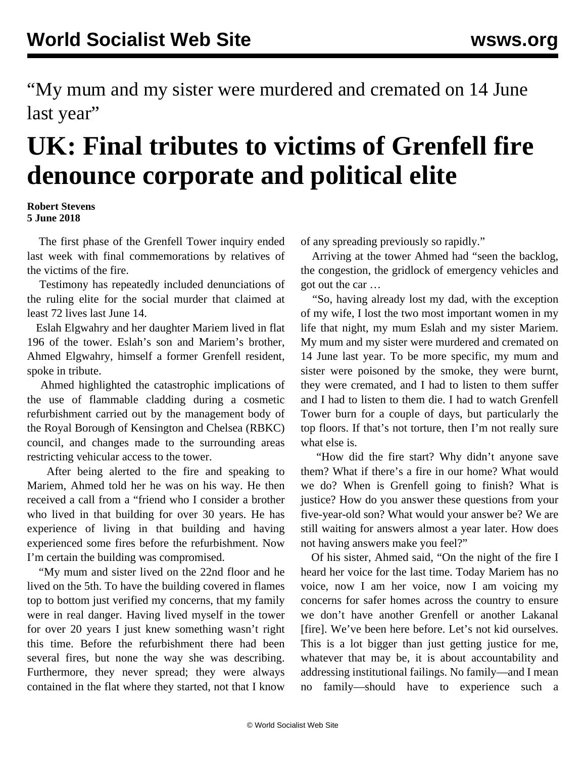"My mum and my sister were murdered and cremated on 14 June last year"

## **UK: Final tributes to victims of Grenfell fire denounce corporate and political elite**

## **Robert Stevens 5 June 2018**

 The first phase of the Grenfell Tower inquiry ended last week with final commemorations by relatives of the victims of the fire.

 Testimony has repeatedly included denunciations of the ruling elite for the social murder that claimed at least 72 lives last June 14.

 Eslah Elgwahry and her daughter Mariem lived in flat 196 of the tower. Eslah's son and Mariem's brother, Ahmed Elgwahry, himself a former Grenfell resident, spoke in tribute.

 Ahmed highlighted the catastrophic implications of the use of flammable cladding during a cosmetic refurbishment carried out by the management body of the Royal Borough of Kensington and Chelsea (RBKC) council, and changes made to the surrounding areas restricting vehicular access to the tower.

 After being alerted to the fire and speaking to Mariem, Ahmed told her he was on his way. He then received a call from a "friend who I consider a brother who lived in that building for over 30 years. He has experience of living in that building and having experienced some fires before the refurbishment. Now I'm certain the building was compromised.

 "My mum and sister lived on the 22nd floor and he lived on the 5th. To have the building covered in flames top to bottom just verified my concerns, that my family were in real danger. Having lived myself in the tower for over 20 years I just knew something wasn't right this time. Before the refurbishment there had been several fires, but none the way she was describing. Furthermore, they never spread; they were always contained in the flat where they started, not that I know

of any spreading previously so rapidly."

 Arriving at the tower Ahmed had "seen the backlog, the congestion, the gridlock of emergency vehicles and got out the car …

 "So, having already lost my dad, with the exception of my wife, I lost the two most important women in my life that night, my mum Eslah and my sister Mariem. My mum and my sister were murdered and cremated on 14 June last year. To be more specific, my mum and sister were poisoned by the smoke, they were burnt, they were cremated, and I had to listen to them suffer and I had to listen to them die. I had to watch Grenfell Tower burn for a couple of days, but particularly the top floors. If that's not torture, then I'm not really sure what else is.

 "How did the fire start? Why didn't anyone save them? What if there's a fire in our home? What would we do? When is Grenfell going to finish? What is justice? How do you answer these questions from your five-year-old son? What would your answer be? We are still waiting for answers almost a year later. How does not having answers make you feel?"

 Of his sister, Ahmed said, "On the night of the fire I heard her voice for the last time. Today Mariem has no voice, now I am her voice, now I am voicing my concerns for safer homes across the country to ensure we don't have another Grenfell or another Lakanal [fire]. We've been here before. Let's not kid ourselves. This is a lot bigger than just getting justice for me, whatever that may be, it is about accountability and addressing institutional failings. No family—and I mean no family—should have to experience such a